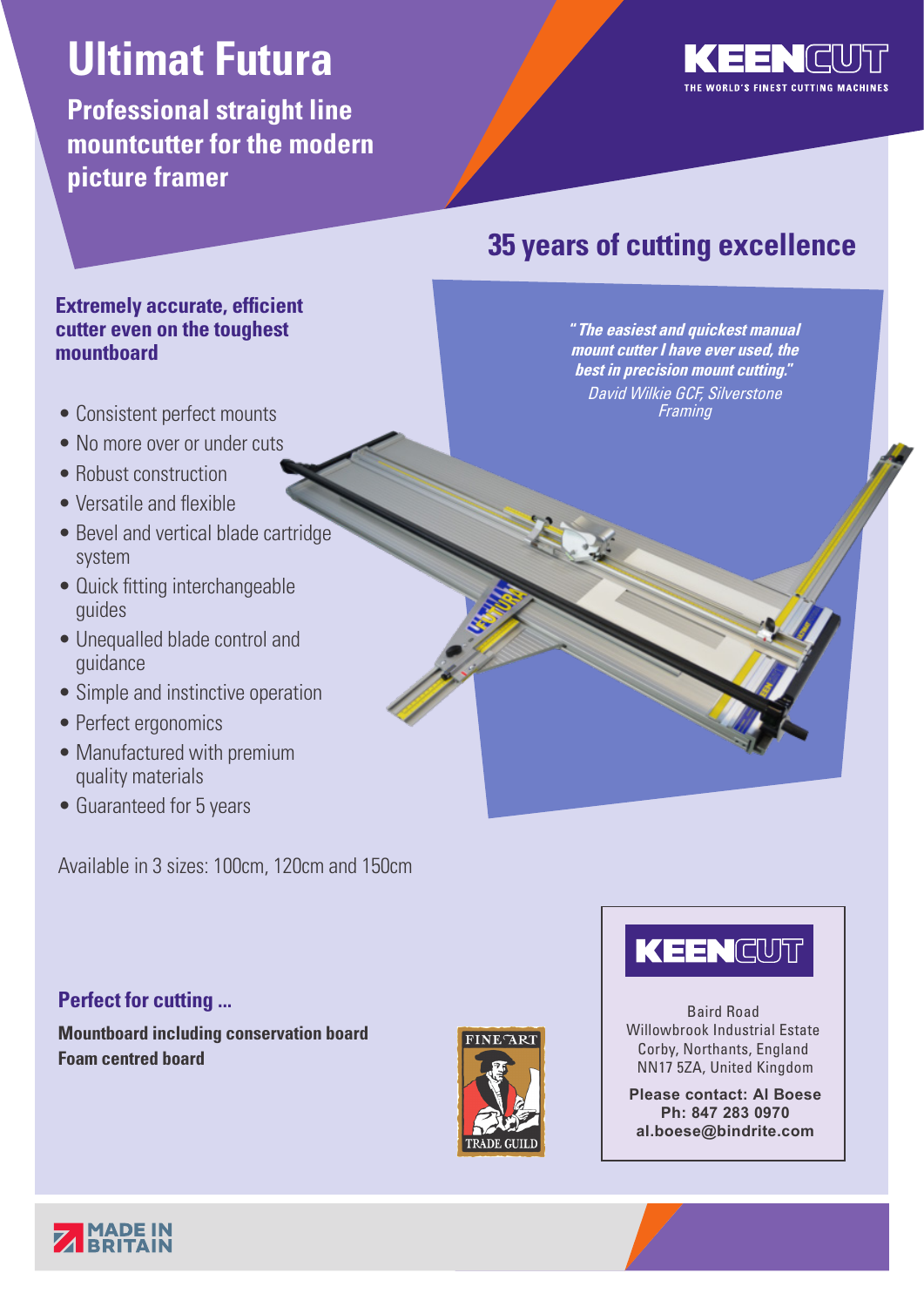# **Ultimat Futura**

**Professional straight line mountcutter for the modern picture framer**



# **35 years of cutting excellence**

**"The easiest and quickest manual mount cutter I have ever used, the best in precision mount cutting."** David Wilkie GCF, Silverstone **Framing** 

## **Extremely accurate, efficient cutter even on the toughest mountboard**

- Consistent perfect mounts
- No more over or under cuts
- Robust construction
- Versatile and flexible
- Bevel and vertical blade cartridge system
- Quick fitting interchangeable guides
- Unequalled blade control and guidance
- Simple and instinctive operation
- Perfect ergonomics
- Manufactured with premium quality materials
- Guaranteed for 5 years

Available in 3 sizes: 100cm, 120cm and 150cm

## **Perfect for cutting ...**

**Mountboard including conservation board Foam centred board**



# KEENCUT

Baird Road Willowbrook Industrial Estate Corby, Northants, England NN17 5ZA, United Kingdom

**Please contact: Al Boese Ph: 847 283 0970 al.boese@bindrite.com**